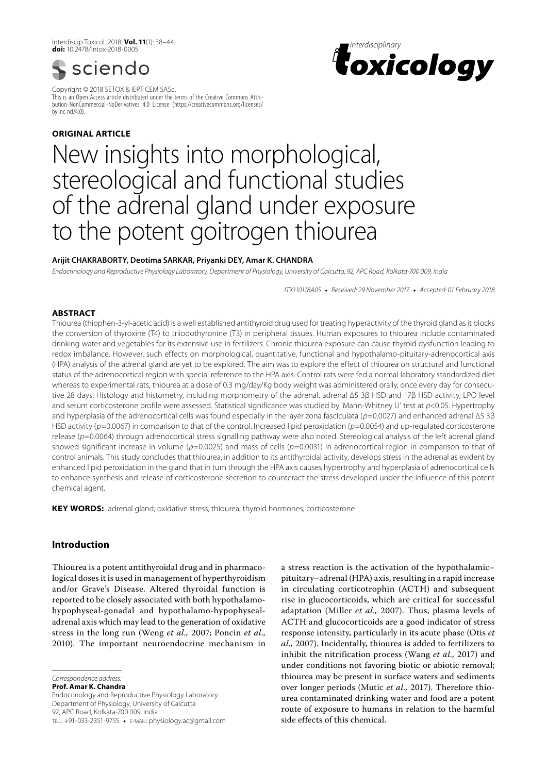Interdiscip Toxicol. 2018; **Vol. 11**(1): 38–44. **doi:** 10.2478/intox-2018-0005



Copyright © 2018 SETOX & IEPT CEM SASc. This is an Open Access article distributed under the terms of the Creative Commons Attribution-NonCommercial-NoDerivatives 4.0 License (https://creativecommons.org/licenses/ by-nc-nd/4.0).

# **ORIGINAL article**



# New insights into morphological, stereological and functional studies of the adrenal gland under exposure to the potent goitrogen thiourea

# **Arijit Chakraborty, Deotima Sarkar, Priyanki Dey, Amar K. Chandra**

*Endocrinology and Reproductive Physiology Laboratory, Department of Physiology, University of Calcutta, 92, APC Road, Kolkata-700 009, India*

*ITX110118A05* • *Received: 29 November 2017* • *Accepted: 01 February 2018*

# **ABSTRACT**

Thiourea (thiophen-3-yl-acetic acid) is a well established antithyroid drug used for treating hyperactivity of the thyroid gland as it blocks the conversion of thyroxine (T4) to triiodothyronine (T3) in peripheral tissues. Human exposures to thiourea include contaminated drinking water and vegetables for its extensive use in fertilizers. Chronic thiourea exposure can cause thyroid dysfunction leading to redox imbalance. However, such effects on morphological, quantitative, functional and hypothalamo-pituitary-adrenocortical axis (HPA) analysis of the adrenal gland are yet to be explored. The aim was to explore the effect of thiourea on structural and functional status of the adrenocortical region with special reference to the HPA axis. Control rats were fed a normal laboratory standardized diet whereas to experimental rats, thiourea at a dose of 0.3 mg/day/Kg body weight was administered orally, once every day for consecutive 28 days. Histology and histometry, including morphometry of the adrenal, adrenal ∆5 3β HSD and 17β HSD activity, LPO level and serum corticosterone profile were assessed. Statistical significance was studied by 'Mann-Whitney U' test at *p*<0.05. Hypertrophy and hyperplasia of the adrenocortical cells was found especially in the layer zona fasciculata (*p*=0.0027) and enhanced adrenal ∆5 3β HSD activity (*p*=0.0067) in comparison to that of the control. Increased lipid peroxidation (*p*=0.0054) and up-regulated corticosterone release (*p*=0.0064) through adrenocortical stress signalling pathway were also noted. Stereological analysis of the left adrenal gland showed significant increase in volume (*p*=0.0025) and mass of cells (*p*=0.0031) in adrenocortical region in comparison to that of control animals. This study concludes that thiourea, in addition to its antithyroidal activity, develops stress in the adrenal as evident by enhanced lipid peroxidation in the gland that in turn through the HPA axis causes hypertrophy and hyperplasia of adrenocortical cells to enhance synthesis and release of corticosterone secretion to counteract the stress developed under the influence of this potent chemical agent.

**KEY WORDS:** adrenal gland; oxidative stress; thiourea; thyroid hormones; corticosterone

# **Introduction**

Thiourea is a potent antithyroidal drug and in pharmacological doses it is used in management of hyperthyroidism and/or Grave's Disease. Altered thyroidal function is reported to be closely associated with both hypothalamohypophyseal-gonadal and hypothalamo-hypophysealadrenal axis which may lead to the generation of oxidative stress in the long run (Weng *et al.,* 2007; Poncin *et al.,* 2010). The important neuroendocrine mechanism in

*Correspondence address:* 

**Prof. Amar K. Chandra**

Endocrinology and Reproductive Physiology Laboratory Department of Physiology, University of Calcutta 92, APC Road, Kolkata-700 009, India tel.: +91-033-2351-9755 • e-mail: physiology.ac@gmail.com a stress reaction is the activation of the hypothalamic– pituitary–adrenal (HPA) axis, resulting in a rapid increase in circulating corticotrophin (ACTH) and subsequent rise in glucocorticoids, which are critical for successful adaptation (Miller *et al.,* 2007). Thus, plasma levels of ACTH and glucocorticoids are a good indicator of stress response intensity, particularly in its acute phase (Otis *et al.,* 2007). Incidentally, thiourea is added to fertilizers to inhibit the nitrification process (Wang *et al.,* 2017) and under conditions not favoring biotic or abiotic removal; thiourea may be present in surface waters and sediments over longer periods (Mutic *et al.,* 2017). Therefore thiourea contaminated drinking water and food are a potent route of exposure to humans in relation to the harmful side effects of this chemical.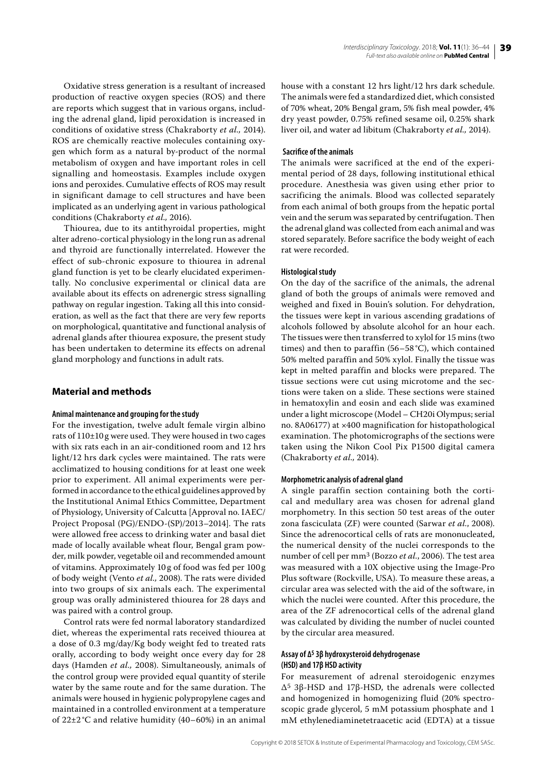39

Oxidative stress generation is a resultant of increased production of reactive oxygen species (ROS) and there are reports which suggest that in various organs, including the adrenal gland, lipid peroxidation is increased in conditions of oxidative stress (Chakraborty *et al.,* 2014). ROS are chemically reactive molecules containing oxygen which form as a natural by-product of the normal metabolism of oxygen and have important roles in cell signalling and homeostasis. Examples include oxygen ions and peroxides. Cumulative effects of ROS may result in significant damage to cell structures and have been implicated as an underlying agent in various pathological conditions (Chakraborty *et al.,* 2016).

Thiourea, due to its antithyroidal properties, might alter adreno-cortical physiology in the long run as adrenal and thyroid are functionally interrelated. However the effect of sub-chronic exposure to thiourea in adrenal gland function is yet to be clearly elucidated experimentally. No conclusive experimental or clinical data are available about its effects on adrenergic stress signalling pathway on regular ingestion. Taking all this into consideration, as well as the fact that there are very few reports on morphological, quantitative and functional analysis of adrenal glands after thiourea exposure, the present study has been undertaken to determine its effects on adrenal gland morphology and functions in adult rats.

# **Material and methods**

## **Animal maintenance and grouping for the study**

For the investigation, twelve adult female virgin albino rats of 110±10 g were used. They were housed in two cages with six rats each in an air-conditioned room and 12 hrs light/12 hrs dark cycles were maintained. The rats were acclimatized to housing conditions for at least one week prior to experiment. All animal experiments were performed in accordance to the ethical guidelines approved by the Institutional Animal Ethics Committee, Department of Physiology, University of Calcutta [Approval no. IAEC/ Project Proposal (PG)/ENDO-(SP)/2013–2014]. The rats were allowed free access to drinking water and basal diet made of locally available wheat flour, Bengal gram powder, milk powder, vegetable oil and recommended amount of vitamins. Approximately 10 g of food was fed per 100 g of body weight (Vento *et al.,* 2008). The rats were divided into two groups of six animals each. The experimental group was orally administered thiourea for 28 days and was paired with a control group.

Control rats were fed normal laboratory standardized diet, whereas the experimental rats received thiourea at a dose of 0.3 mg/day/Kg body weight fed to treated rats orally, according to body weight once every day for 28 days (Hamden *et al.,* 2008). Simultaneously, animals of the control group were provided equal quantity of sterile water by the same route and for the same duration. The animals were housed in hygienic polypropylene cages and maintained in a controlled environment at a temperature of  $22\pm2\degree$ C and relative humidity (40–60%) in an animal

house with a constant 12 hrs light/12 hrs dark schedule. The animals were fed a standardized diet, which consisted of 70% wheat, 20% Bengal gram, 5% fish meal powder, 4% dry yeast powder, 0.75% refined sesame oil, 0.25% shark liver oil, and water ad libitum (Chakraborty *et al.,* 2014).

## **Sacrifice of the animals**

The animals were sacrificed at the end of the experimental period of 28 days, following institutional ethical procedure. Anesthesia was given using ether prior to sacrificing the animals. Blood was collected separately from each animal of both groups from the hepatic portal vein and the serum was separated by centrifugation. Then the adrenal gland was collected from each animal and was stored separately. Before sacrifice the body weight of each rat were recorded.

## **Histological study**

On the day of the sacrifice of the animals, the adrenal gland of both the groups of animals were removed and weighed and fixed in Bouin's solution. For dehydration, the tissues were kept in various ascending gradations of alcohols followed by absolute alcohol for an hour each. The tissues were then transferred to xylol for 15 mins (two times) and then to paraffin (56–58 °C), which contained 50% melted paraffin and 50% xylol. Finally the tissue was kept in melted paraffin and blocks were prepared. The tissue sections were cut using microtome and the sections were taken on a slide. These sections were stained in hematoxylin and eosin and each slide was examined under a light microscope (Model – CH20i Olympus; serial no. 8A06177) at ×400 magnification for histopathological examination. The photomicrographs of the sections were taken using the Nikon Cool Pix P1500 digital camera (Chakraborty *et al.,* 2014).

#### **Morphometric analysis of adrenal gland**

A single paraffin section containing both the cortical and medullary area was chosen for adrenal gland morphometry. In this section 50 test areas of the outer zona fasciculata (ZF) were counted (Sarwar *et al.*, 2008). Since the adrenocortical cells of rats are mononucleated, the numerical density of the nuclei corresponds to the number of cell per mm3 (Bozzo *et al.*, 2006). The test area was measured with a 10X objective using the Image-Pro Plus software (Rockville, USA). To measure these areas, a circular area was selected with the aid of the software, in which the nuclei were counted. After this procedure, the area of the ZF adrenocortical cells of the adrenal gland was calculated by dividing the number of nuclei counted by the circular area measured.

# **Assay of ∆5 3β hydroxysteroid dehydrogenase (HSD) and 17β HSD activity**

For measurement of adrenal steroidogenic enzymes Δ5 3β-HSD and 17β-HSD, the adrenals were collected and homogenized in homogenizing fluid (20% spectroscopic grade glycerol, 5 mM potassium phosphate and 1 mM ethylenediaminetetraacetic acid (EDTA) at a tissue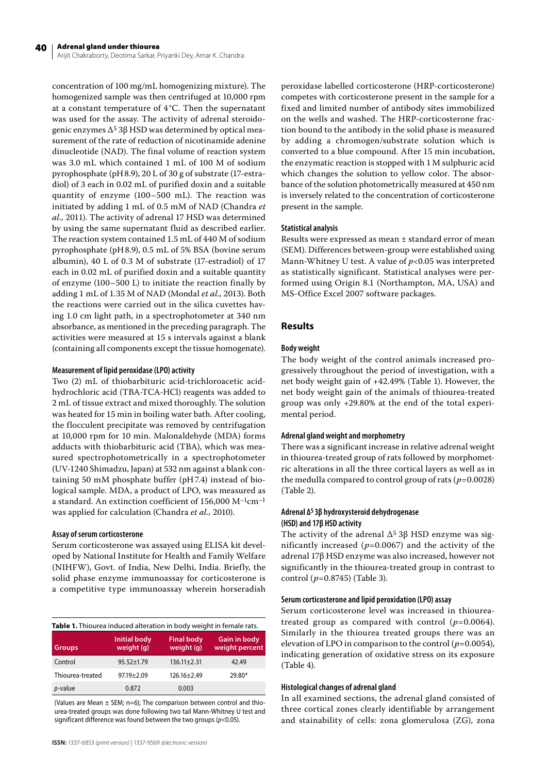Arijit Chakraborty, Deotima Sarkar, Priyanki Dey, Amar K. Chandra

concentration of 100 mg/mL homogenizing mixture). The homogenized sample was then centrifuged at 10,000 rpm at a constant temperature of 4 °C. Then the supernatant was used for the assay. The activity of adrenal steroidogenic enzymes  $Δ<sup>5</sup> 3β$  HSD was determined by optical measurement of the rate of reduction of nicotinamide adenine dinucleotide (NAD). The final volume of reaction system was 3.0 mL which contained 1 mL of 100 M of sodium pyrophosphate (pH8.9), 20 L of 30 g of substrate (17-estradiol) of 3 each in 0.02 mL of purified doxin and a suitable quantity of enzyme (100–500 mL). The reaction was initiated by adding 1 mL of 0.5 mM of NAD (Chandra *et al.,* 2011). The activity of adrenal 17 HSD was determined by using the same supernatant fluid as described earlier. The reaction system contained 1.5 mL of 440 M of sodium pyrophosphate (pH8.9), 0.5 mL of 5% BSA (bovine serum albumin), 40 L of 0.3 M of substrate (17-estradiol) of 17 each in 0.02 mL of purified doxin and a suitable quantity of enzyme (100–500 L) to initiate the reaction finally by adding 1 mL of 1.35 M of NAD (Mondal *et al.,* 2013). Both the reactions were carried out in the silica cuvettes having 1.0 cm light path, in a spectrophotometer at 340 nm absorbance, as mentioned in the preceding paragraph. The activities were measured at 15 s intervals against a blank (containing all components except the tissue homogenate).

## **Measurement of lipid peroxidase (LPO) activity**

Two (2) mL of thiobarbituric acid-trichloroacetic acidhydrochloric acid (TBA-TCA-HCl) reagents was added to 2 mL of tissue extract and mixed thoroughly. The solution was heated for 15 min in boiling water bath. After cooling, the flocculent precipitate was removed by centrifugation at 10,000 rpm for 10 min. Malonaldehyde (MDA) forms adducts with thiobarbituric acid (TBA), which was measured spectrophotometrically in a spectrophotometer (UV-1240 Shimadzu, Japan) at 532 nm against a blank containing 50 mM phosphate buffer (pH7.4) instead of biological sample. MDA, a product of LPO, was measured as a standard. An extinction coefficient of  $156,000 \ M^{-1}cm^{-1}$ was applied for calculation (Chandra *et al.,* 2010).

#### **Assay of serum corticosterone**

Serum corticosterone was assayed using ELISA kit developed by National Institute for Health and Family Welfare (NIHFW), Govt. of India, New Delhi, India. Briefly, the solid phase enzyme immunoassay for corticosterone is a competitive type immunoassay wherein horseradish

| Table 1. Thiourea induced alteration in body weight in female rats. |                                   |                                 |                                       |  |  |
|---------------------------------------------------------------------|-----------------------------------|---------------------------------|---------------------------------------|--|--|
| <b>Groups</b>                                                       | <b>Initial body</b><br>weight (g) | <b>Final body</b><br>weight (g) | <b>Gain in body</b><br>weight percent |  |  |
| Control                                                             | $95.52 \pm 1.79$                  | $136.11 \pm 2.31$               | 42.49                                 |  |  |
| Thiourea-treated                                                    | $97.19 \pm 2.09$                  | $126.16 \pm 2.49$               | 29.80*                                |  |  |
| <i>p</i> -value                                                     | 0.872                             | 0.003                           |                                       |  |  |

(Values are Mean ± SEM; n=6); The comparison between control and thiourea-treated groups was done following two tail Mann-Whitney U test and significant difference was found between the two groups (*p*<0.05).

peroxidase labelled corticosterone (HRP-corticosterone) competes with corticosterone present in the sample for a fixed and limited number of antibody sites immobilized on the wells and washed. The HRP-corticosterone fraction bound to the antibody in the solid phase is measured by adding a chromogen/substrate solution which is converted to a blue compound. After 15 min incubation, the enzymatic reaction is stopped with 1M sulphuric acid which changes the solution to yellow color. The absorbance of the solution photometrically measured at 450 nm is inversely related to the concentration of corticosterone present in the sample.

#### **Statistical analysis**

Results were expressed as mean ± standard error of mean (SEM). Differences between-group were established using Mann-Whitney U test. A value of *p*<0.05 was interpreted as statistically significant. Statistical analyses were performed using Origin 8.1 (Northampton, MA, USA) and MS-Office Excel 2007 software packages.

## **Results**

## **Body weight**

The body weight of the control animals increased progressively throughout the period of investigation, with a net body weight gain of +42.49% (Table 1). However, the net body weight gain of the animals of thiourea-treated group was only +29.80% at the end of the total experimental period.

## **Adrenal gland weight and morphometry**

There was a significant increase in relative adrenal weight in thiourea-treated group of rats followed by morphometric alterations in all the three cortical layers as well as in the medulla compared to control group of rats  $(p=0.0028)$ (Table 2).

## **Adrenal ∆5 3β hydroxysteroid dehydrogenase (HSD) and 17β HSD activity**

The activity of the adrenal  $\Delta^5 3\beta$  HSD enzyme was significantly increased (*p*=0.0067) and the activity of the adrenal 17β HSD enzyme was also increased, however not significantly in the thiourea-treated group in contrast to control (*p*=0.8745) (Table 3).

## **Serum corticosterone and lipid peroxidation (LPO) assay**

Serum corticosterone level was increased in thioureatreated group as compared with control (*p*=0.0064). Similarly in the thiourea treated groups there was an elevation of LPO in comparison to the control  $(p=0.0054)$ , indicating generation of oxidative stress on its exposure (Table 4).

## **Histological changes of adrenal gland**

In all examined sections, the adrenal gland consisted of three cortical zones clearly identifiable by arrangement and stainability of cells: zona glomerulosa (ZG), zona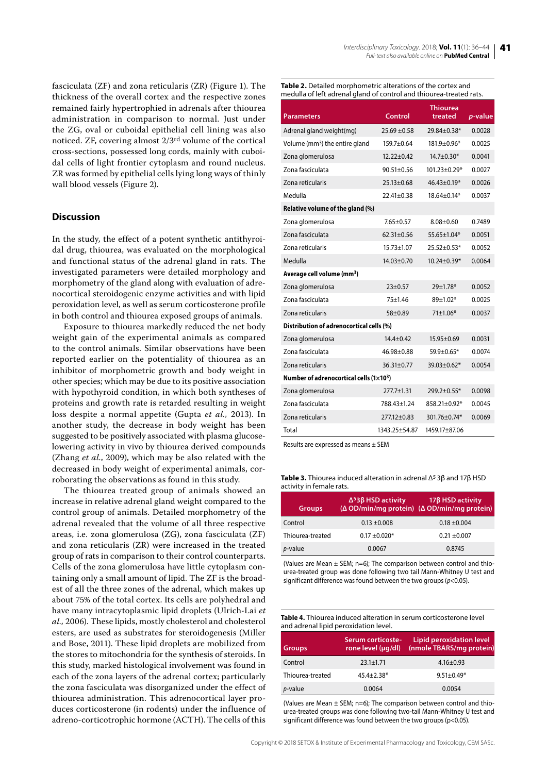fasciculata (ZF) and zona reticularis (ZR) (Figure 1). The thickness of the overall cortex and the respective zones remained fairly hypertrophied in adrenals after thiourea administration in comparison to normal. Just under the ZG, oval or cuboidal epithelial cell lining was also noticed. ZF, covering almost 2/3rd volume of the cortical cross-sections, possessed long cords, mainly with cuboidal cells of light frontier cytoplasm and round nucleus. ZR was formed by epithelial cells lying long ways of thinly wall blood vessels (Figure 2).

## **Discussion**

In the study, the effect of a potent synthetic antithyroidal drug, thiourea, was evaluated on the morphological and functional status of the adrenal gland in rats. The investigated parameters were detailed morphology and morphometry of the gland along with evaluation of adrenocortical steroidogenic enzyme activities and with lipid peroxidation level, as well as serum corticosterone profile in both control and thiourea exposed groups of animals.

Exposure to thiourea markedly reduced the net body weight gain of the experimental animals as compared to the control animals. Similar observations have been reported earlier on the potentiality of thiourea as an inhibitor of morphometric growth and body weight in other species; which may be due to its positive association with hypothyroid condition, in which both syntheses of proteins and growth rate is retarded resulting in weight loss despite a normal appetite (Gupta *et al.,* 2013). In another study, the decrease in body weight has been suggested to be positively associated with plasma glucoselowering activity in vivo by thiourea derived compounds (Zhang *et al.*, 2009), which may be also related with the decreased in body weight of experimental animals, corroborating the observations as found in this study.

The thiourea treated group of animals showed an increase in relative adrenal gland weight compared to the control group of animals. Detailed morphometry of the adrenal revealed that the volume of all three respective areas, i.e. zona glomerulosa (ZG), zona fasciculata (ZF) and zona reticularis (ZR) were increased in the treated group of rats in comparison to their control counterparts. Cells of the zona glomerulosa have little cytoplasm containing only a small amount of lipid. The ZF is the broadest of all the three zones of the adrenal, which makes up about 75% of the total cortex. Its cells are polyhedral and have many intracytoplasmic lipid droplets (Ulrich-Lai *et al.,* 2006). These lipids, mostly cholesterol and cholesterol esters, are used as substrates for steroidogenesis (Miller and Bose, 2011). These lipid droplets are mobilized from the stores to mitochondria for the synthesis of steroids. In this study, marked histological involvement was found in each of the zona layers of the adrenal cortex; particularly the zona fasciculata was disorganized under the effect of thiourea administration. This adrenocortical layer produces corticosterone (in rodents) under the influence of adreno-corticotrophic hormone (ACTH). The cells of this

**Table 2.** Detailed morphometric alterations of the cortex and medulla of left adrenal gland of control and thiourea-treated rats.

| <b>Parameters</b>                          | Control          | Thiourea<br>treated | $\overline{p}$ -value |  |  |
|--------------------------------------------|------------------|---------------------|-----------------------|--|--|
| Adrenal gland weight(mg)                   | $25.69 \pm 0.58$ | 29.84+0.38*         | 0.0028                |  |  |
| Volume (mm <sup>3</sup> ) the entire gland | $159.7 + 0.64$   | 181.9±0.96*         | 0.0025                |  |  |
| Zona glomerulosa                           | $12.22 + 0.42$   | $14.7 \pm 0.30*$    | 0.0041                |  |  |
| Zona fasciculata                           | $90.51 \pm 0.56$ | $101.23 \pm 0.29*$  | 0.0027                |  |  |
| Zona reticularis                           | 25.13±0.68       | 46.43±0.19*         | 0.0026                |  |  |
| Medulla                                    | $22.41 \pm 0.38$ | $18.64 \pm 0.14*$   | 0.0037                |  |  |
| Relative volume of the gland (%)           |                  |                     |                       |  |  |
| Zona glomerulosa                           | $7.65 \pm 0.57$  | $8.08 + 0.60$       | 0.7489                |  |  |
| Zona fasciculata                           | $62.31 \pm 0.56$ | 55.65±1.04*         | 0.0051                |  |  |
| Zona reticularis                           | $15.73 + 1.07$   | 25.52±0.53*         | 0.0052                |  |  |
| Medulla                                    | 14.03±0.70       | $10.24 \pm 0.39*$   | 0.0064                |  |  |
| Average cell volume (mm <sup>3</sup> )     |                  |                     |                       |  |  |
| Zona glomerulosa                           | $23 \pm 0.57$    | $29 \pm 1.78$ *     | 0.0052                |  |  |
| Zona fasciculata                           | $75+1.46$        | 89±1.02*            | 0.0025                |  |  |
| Zona reticularis                           | $58 + 0.89$      | 71±1.06*            | 0.0037                |  |  |
| Distribution of adrenocortical cells (%)   |                  |                     |                       |  |  |
| Zona glomerulosa                           | $14.4 \pm 0.42$  | $15.95 \pm 0.69$    | 0.0031                |  |  |
| Zona fasciculata                           | $46.98 + 0.88$   | $59.9 + 0.65*$      | 0.0074                |  |  |
| Zona reticularis                           | $36.31 \pm 0.77$ | 39.03±0.62*         | 0.0054                |  |  |
| Number of adrenocortical cells (1×103)     |                  |                     |                       |  |  |
| Zona glomerulosa                           | $277.7 \pm 1.31$ | 299.2±0.55*         | 0.0098                |  |  |
| Zona fasciculata                           | 788.43±1.24      | 858.21±0.92*        | 0.0045                |  |  |
| Zona reticularis                           | 277.12±0.83      | 301.76±0.74*        | 0.0069                |  |  |
| Total                                      | 1343.25+54.87    | 1459.17±87.06       |                       |  |  |

Results are expressed as means ± SEM

Table 3. Thiourea induced alteration in adrenal Δ<sup>5</sup> 3β and 17β HSD activity in female rats.

| <b>Groups</b>    | $Δ53β$ HSD activity | 17β HSD activity<br>$(\Delta$ OD/min/mg protein) ( $\Delta$ OD/min/mg protein) |
|------------------|---------------------|--------------------------------------------------------------------------------|
| Control          | $0.13 \pm 0.008$    | $0.18 \pm 0.004$                                                               |
| Thiourea-treated | $0.17 \pm 0.020*$   | $0.21 \pm 0.007$                                                               |
| <i>p</i> -value  | 0.0067              | 0.8745                                                                         |

(Values are Mean  $\pm$  SEM; n=6); The comparison between control and thiourea-treated group was done following two tail Mann-Whitney U test and significant difference was found between the two groups (*p*<0.05).

**Table 4.** Thiourea induced alteration in serum corticosterone level and adrenal lipid peroxidation level.

| <b>Groups</b>    | Serum corticoste-<br>rone level (µq/dl) | Lipid peroxidation level<br>(nmole TBARS/mg protein) |
|------------------|-----------------------------------------|------------------------------------------------------|
| Control          | $23.1 \pm 1.71$                         | $4.16 \pm 0.93$                                      |
| Thiourea-treated | $45.4 \pm 2.38*$                        | $9.51 \pm 0.49*$                                     |
| <i>p</i> -value  | 0.0064                                  | 0.0054                                               |

(Values are Mean  $\pm$  SEM; n=6); The comparison between control and thiourea-treated groups was done following two-tail Mann-Whitney U test and significant difference was found between the two groups (p<0.05).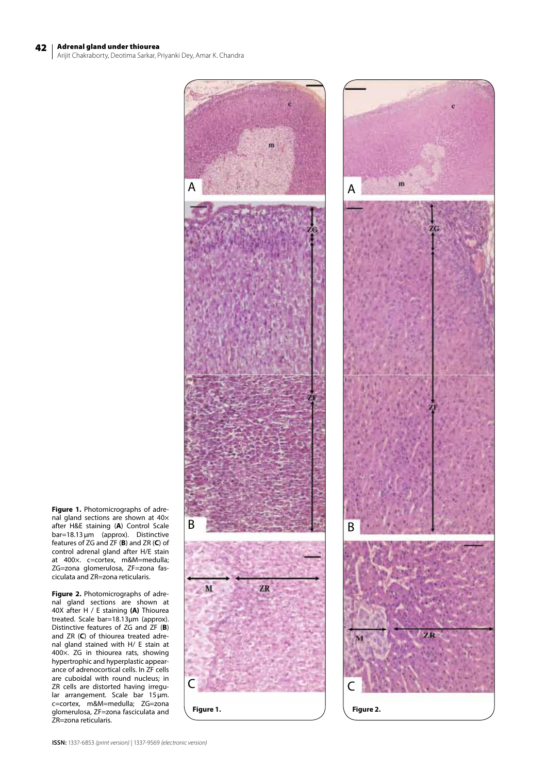# 42 Adrenal gland under thiourea

Arijit Chakraborty, Deotima Sarkar, Priyanki Dey, Amar K. Chandra





**Figure 1.** Photomicrographs of adrenal gland sections are shown at 40× after H&E staining (**A**) Control Scale bar=18.13µm (approx). Distinctive features of ZG and ZF (**B**) and ZR (**C**) of control adrenal gland after H/E stain at 400×. c=cortex, m&M=medulla; ZG=zona glomerulosa, ZF=zona fasciculata and ZR=zona reticularis.

**Figure 2.** Photomicrographs of adrenal gland sections are shown at 40X after H / E staining **(A)** Thiourea treated. Scale bar=18.13µm (approx). Distinctive features of ZG and ZF (**B**) and ZR (**C**) of thiourea treated adrenal gland stained with H/ E stain at 400×. ZG in thiourea rats, showing hypertrophic and hyperplastic appearance of adrenocortical cells. In ZF cells are cuboidal with round nucleus; in ZR cells are distorted having irregular arrangement. Scale bar 15µm. c=cortex, m&M=medulla; ZG=zona glomerulosa, ZF=zona fasciculata and ZR=zona reticularis.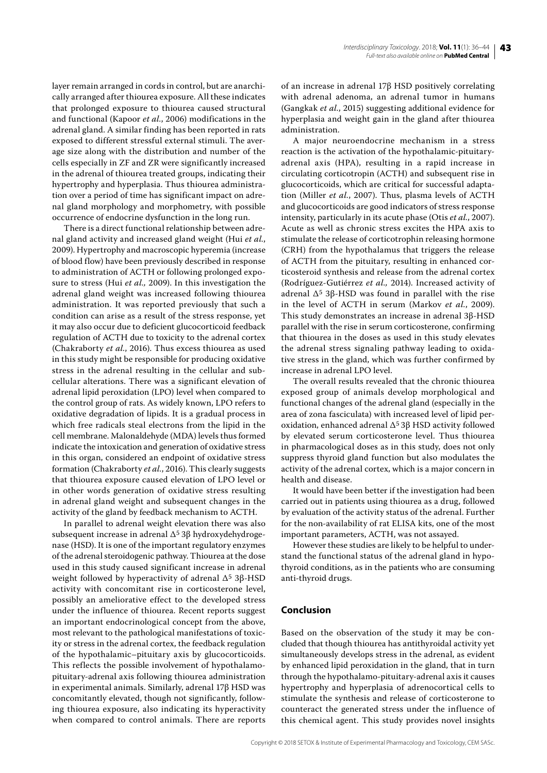layer remain arranged in cords in control, but are anarchically arranged after thiourea exposure. All these indicates that prolonged exposure to thiourea caused structural and functional (Kapoor *et al.*, 2006) modifications in the adrenal gland. A similar finding has been reported in rats exposed to different stressful external stimuli. The average size along with the distribution and number of the cells especially in ZF and ZR were significantly increased in the adrenal of thiourea treated groups, indicating their hypertrophy and hyperplasia. Thus thiourea administration over a period of time has significant impact on adrenal gland morphology and morphometry, with possible occurrence of endocrine dysfunction in the long run.

There is a direct functional relationship between adrenal gland activity and increased gland weight (Hui *et al.*, 2009). Hypertrophy and macroscopic hyperemia (increase of blood flow) have been previously described in response to administration of ACTH or following prolonged exposure to stress (Hui *et al.,* 2009). In this investigation the adrenal gland weight was increased following thiourea administration. It was reported previously that such a condition can arise as a result of the stress response, yet it may also occur due to deficient glucocorticoid feedback regulation of ACTH due to toxicity to the adrenal cortex (Chakraborty *et al.*, 2016). Thus excess thiourea as used in this study might be responsible for producing oxidative stress in the adrenal resulting in the cellular and subcellular alterations. There was a significant elevation of adrenal lipid peroxidation (LPO) level when compared to the control group of rats. As widely known, LPO refers to oxidative degradation of lipids. It is a gradual process in which free radicals steal electrons from the lipid in the cell membrane. Malonaldehyde (MDA) levels thus formed indicate the intoxication and generation of oxidative stress in this organ, considered an endpoint of oxidative stress formation (Chakraborty *et al.*, 2016). This clearly suggests that thiourea exposure caused elevation of LPO level or in other words generation of oxidative stress resulting in adrenal gland weight and subsequent changes in the activity of the gland by feedback mechanism to ACTH.

In parallel to adrenal weight elevation there was also subsequent increase in adrenal ∆5 3β hydroxydehydrogenase (HSD). It is one of the important regulatory enzymes of the adrenal steroidogenic pathway. Thiourea at the dose used in this study caused significant increase in adrenal weight followed by hyperactivity of adrenal  $\Delta^5$  3 $\beta$ -HSD activity with concomitant rise in corticosterone level, possibly an ameliorative effect to the developed stress under the influence of thiourea. Recent reports suggest an important endocrinological concept from the above, most relevant to the pathological manifestations of toxicity or stress in the adrenal cortex, the feedback regulation of the hypothalamic–pituitary axis by glucocorticoids. This reflects the possible involvement of hypothalamopituitary-adrenal axis following thiourea administration in experimental animals. Similarly, adrenal 17β HSD was concomitantly elevated, though not significantly, following thiourea exposure, also indicating its hyperactivity when compared to control animals. There are reports of an increase in adrenal 17β HSD positively correlating with adrenal adenoma, an adrenal tumor in humans (Gangkak *et al.*, 2015) suggesting additional evidence for hyperplasia and weight gain in the gland after thiourea administration.

A major neuroendocrine mechanism in a stress reaction is the activation of the hypothalamic-pituitaryadrenal axis (HPA), resulting in a rapid increase in circulating corticotropin (ACTH) and subsequent rise in glucocorticoids, which are critical for successful adaptation (Miller *et al.*, 2007). Thus, plasma levels of ACTH and glucocorticoids are good indicators of stress response intensity, particularly in its acute phase (Otis *et al.*, 2007). Acute as well as chronic stress excites the HPA axis to stimulate the release of corticotrophin releasing hormone (CRH) from the hypothalamus that triggers the release of ACTH from the pituitary, resulting in enhanced corticosteroid synthesis and release from the adrenal cortex (Rodríguez-Gutiérrez *et al.,* 2014). Increased activity of adrenal  $Δ<sup>5</sup> 3β$ -HSD was found in parallel with the rise in the level of ACTH in serum (Markov *et al.*, 2009). This study demonstrates an increase in adrenal 3β-HSD parallel with the rise in serum corticosterone, confirming that thiourea in the doses as used in this study elevates the adrenal stress signaling pathway leading to oxidative stress in the gland, which was further confirmed by increase in adrenal LPO level.

The overall results revealed that the chronic thiourea exposed group of animals develop morphological and functional changes of the adrenal gland (especially in the area of zona fasciculata) with increased level of lipid peroxidation, enhanced adrenal ∆5 3β HSD activity followed by elevated serum corticosterone level. Thus thiourea in pharmacological doses as in this study, does not only suppress thyroid gland function but also modulates the activity of the adrenal cortex, which is a major concern in health and disease.

It would have been better if the investigation had been carried out in patients using thiourea as a drug, followed by evaluation of the activity status of the adrenal. Further for the non-availability of rat ELISA kits, one of the most important parameters, ACTH, was not assayed.

However these studies are likely to be helpful to understand the functional status of the adrenal gland in hypothyroid conditions, as in the patients who are consuming anti-thyroid drugs.

# **Conclusion**

Based on the observation of the study it may be concluded that though thiourea has antithyroidal activity yet simultaneously develops stress in the adrenal, as evident by enhanced lipid peroxidation in the gland, that in turn through the hypothalamo-pituitary-adrenal axis it causes hypertrophy and hyperplasia of adrenocortical cells to stimulate the synthesis and release of corticosterone to counteract the generated stress under the influence of this chemical agent. This study provides novel insights